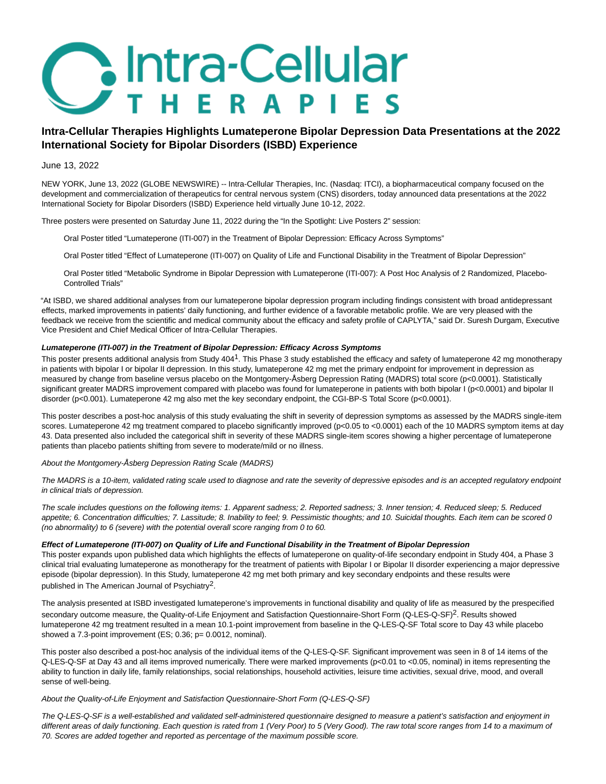# **Butra-Cellular THERAPIES**

# **Intra-Cellular Therapies Highlights Lumateperone Bipolar Depression Data Presentations at the 2022 International Society for Bipolar Disorders (ISBD) Experience**

# June 13, 2022

NEW YORK, June 13, 2022 (GLOBE NEWSWIRE) -- Intra-Cellular Therapies, Inc. (Nasdaq: ITCI), a biopharmaceutical company focused on the development and commercialization of therapeutics for central nervous system (CNS) disorders, today announced data presentations at the 2022 International Society for Bipolar Disorders (ISBD) Experience held virtually June 10-12, 2022.

Three posters were presented on Saturday June 11, 2022 during the "In the Spotlight: Live Posters 2" session:

- Oral Poster titled "Lumateperone (ITI-007) in the Treatment of Bipolar Depression: Efficacy Across Symptoms"
- Oral Poster titled "Effect of Lumateperone (ITI-007) on Quality of Life and Functional Disability in the Treatment of Bipolar Depression"

Oral Poster titled "Metabolic Syndrome in Bipolar Depression with Lumateperone (ITI-007): A Post Hoc Analysis of 2 Randomized, Placebo-Controlled Trials"

"At ISBD, we shared additional analyses from our lumateperone bipolar depression program including findings consistent with broad antidepressant effects, marked improvements in patients' daily functioning, and further evidence of a favorable metabolic profile. We are very pleased with the feedback we receive from the scientific and medical community about the efficacy and safety profile of CAPLYTA," said Dr. Suresh Durgam, Executive Vice President and Chief Medical Officer of Intra-Cellular Therapies.

# **Lumateperone (ITI-007) in the Treatment of Bipolar Depression: Efficacy Across Symptoms**

This poster presents additional analysis from Study 4041. This Phase 3 study established the efficacy and safety of lumateperone 42 mg monotherapy in patients with bipolar I or bipolar II depression. In this study, lumateperone 42 mg met the primary endpoint for improvement in depression as measured by change from baseline versus placebo on the Montgomery-Åsberg Depression Rating (MADRS) total score (p<0.0001). Statistically significant greater MADRS improvement compared with placebo was found for lumateperone in patients with both bipolar I (p<0.0001) and bipolar II disorder (p<0.001). Lumateperone 42 mg also met the key secondary endpoint, the CGI-BP-S Total Score (p<0.0001).

This poster describes a post-hoc analysis of this study evaluating the shift in severity of depression symptoms as assessed by the MADRS single-item scores. Lumateperone 42 mg treatment compared to placebo significantly improved (p<0.05 to <0.0001) each of the 10 MADRS symptom items at day 43. Data presented also included the categorical shift in severity of these MADRS single-item scores showing a higher percentage of lumateperone patients than placebo patients shifting from severe to moderate/mild or no illness.

About the Montgomery-Åsberg Depression Rating Scale (MADRS)

The MADRS is a 10-item, validated rating scale used to diagnose and rate the severity of depressive episodes and is an accepted regulatory endpoint in clinical trials of depression.

The scale includes questions on the following items: 1. Apparent sadness; 2. Reported sadness; 3. Inner tension; 4. Reduced sleep; 5. Reduced appetite; 6. Concentration difficulties; 7. Lassitude; 8. Inability to feel; 9. Pessimistic thoughts; and 10. Suicidal thoughts. Each item can be scored 0 (no abnormality) to 6 (severe) with the potential overall score ranging from 0 to 60.

# **Effect of Lumateperone (ITI-007) on Quality of Life and Functional Disability in the Treatment of Bipolar Depression**

This poster expands upon published data which highlights the effects of lumateperone on quality-of-life secondary endpoint in Study 404, a Phase 3 clinical trial evaluating lumateperone as monotherapy for the treatment of patients with Bipolar I or Bipolar II disorder experiencing a major depressive episode (bipolar depression). In this Study, lumateperone 42 mg met both primary and key secondary endpoints and these results were published in The American Journal of Psychiatry2.

The analysis presented at ISBD investigated lumateperone's improvements in functional disability and quality of life as measured by the prespecified secondary outcome measure, the Quality-of-Life Enjoyment and Satisfaction Questionnaire-Short Form (Q-LES-Q-SF)2. Results showed lumateperone 42 mg treatment resulted in a mean 10.1-point improvement from baseline in the Q-LES-Q-SF Total score to Day 43 while placebo showed a 7.3-point improvement (ES; 0.36; p= 0.0012, nominal).

This poster also described a post-hoc analysis of the individual items of the Q-LES-Q-SF. Significant improvement was seen in 8 of 14 items of the Q-LES-Q-SF at Day 43 and all items improved numerically. There were marked improvements (p<0.01 to <0.05, nominal) in items representing the ability to function in daily life, family relationships, social relationships, household activities, leisure time activities, sexual drive, mood, and overall sense of well-being.

# About the Quality-of-Life Enjoyment and Satisfaction Questionnaire-Short Form (Q-LES-Q-SF)

The Q-LES-Q-SF is a well-established and validated self-administered questionnaire designed to measure a patient's satisfaction and enjoyment in different areas of daily functioning. Each question is rated from 1 (Very Poor) to 5 (Very Good). The raw total score ranges from 14 to a maximum of 70. Scores are added together and reported as percentage of the maximum possible score.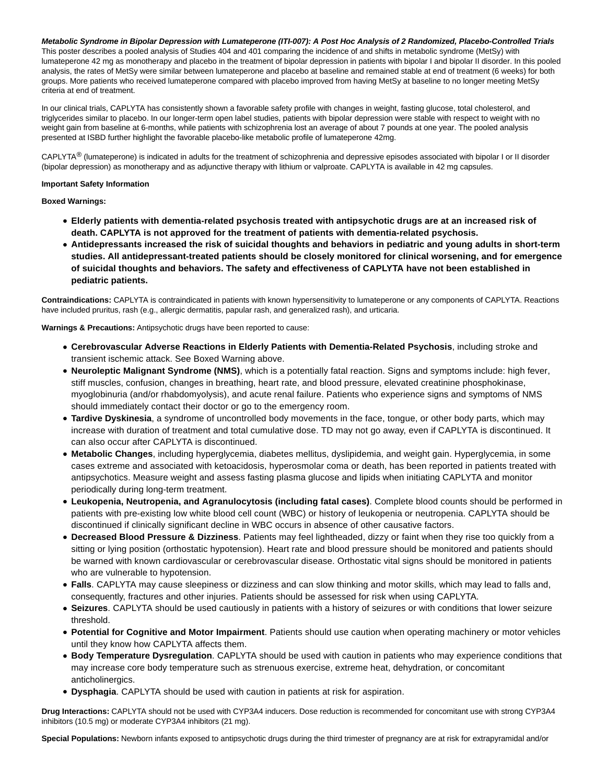# **Metabolic Syndrome in Bipolar Depression with Lumateperone (ITI-007): A Post Hoc Analysis of 2 Randomized, Placebo-Controlled Trials**

This poster describes a pooled analysis of Studies 404 and 401 comparing the incidence of and shifts in metabolic syndrome (MetSy) with lumateperone 42 mg as monotherapy and placebo in the treatment of bipolar depression in patients with bipolar I and bipolar II disorder. In this pooled analysis, the rates of MetSy were similar between lumateperone and placebo at baseline and remained stable at end of treatment (6 weeks) for both groups. More patients who received lumateperone compared with placebo improved from having MetSy at baseline to no longer meeting MetSy criteria at end of treatment.

In our clinical trials, CAPLYTA has consistently shown a favorable safety profile with changes in weight, fasting glucose, total cholesterol, and triglycerides similar to placebo. In our longer-term open label studies, patients with bipolar depression were stable with respect to weight with no weight gain from baseline at 6-months, while patients with schizophrenia lost an average of about 7 pounds at one year. The pooled analysis presented at ISBD further highlight the favorable placebo-like metabolic profile of lumateperone 42mg.

CAPLYTA<sup>®</sup> (lumateperone) is indicated in adults for the treatment of schizophrenia and depressive episodes associated with bipolar I or II disorder (bipolar depression) as monotherapy and as adjunctive therapy with lithium or valproate. CAPLYTA is available in 42 mg capsules.

#### **Important Safety Information**

# **Boxed Warnings:**

- **Elderly patients with dementia-related psychosis treated with antipsychotic drugs are at an increased risk of death. CAPLYTA is not approved for the treatment of patients with dementia-related psychosis.**
- **Antidepressants increased the risk of suicidal thoughts and behaviors in pediatric and young adults in short-term studies. All antidepressant-treated patients should be closely monitored for clinical worsening, and for emergence of suicidal thoughts and behaviors. The safety and effectiveness of CAPLYTA have not been established in pediatric patients.**

**Contraindications:** CAPLYTA is contraindicated in patients with known hypersensitivity to lumateperone or any components of CAPLYTA. Reactions have included pruritus, rash (e.g., allergic dermatitis, papular rash, and generalized rash), and urticaria.

**Warnings & Precautions:** Antipsychotic drugs have been reported to cause:

- **Cerebrovascular Adverse Reactions in Elderly Patients with Dementia-Related Psychosis**, including stroke and transient ischemic attack. See Boxed Warning above.
- **Neuroleptic Malignant Syndrome (NMS)**, which is a potentially fatal reaction. Signs and symptoms include: high fever, stiff muscles, confusion, changes in breathing, heart rate, and blood pressure, elevated creatinine phosphokinase, myoglobinuria (and/or rhabdomyolysis), and acute renal failure. Patients who experience signs and symptoms of NMS should immediately contact their doctor or go to the emergency room.
- **Tardive Dyskinesia**, a syndrome of uncontrolled body movements in the face, tongue, or other body parts, which may increase with duration of treatment and total cumulative dose. TD may not go away, even if CAPLYTA is discontinued. It can also occur after CAPLYTA is discontinued.
- **Metabolic Changes**, including hyperglycemia, diabetes mellitus, dyslipidemia, and weight gain. Hyperglycemia, in some cases extreme and associated with ketoacidosis, hyperosmolar coma or death, has been reported in patients treated with antipsychotics. Measure weight and assess fasting plasma glucose and lipids when initiating CAPLYTA and monitor periodically during long-term treatment.
- **Leukopenia, Neutropenia, and Agranulocytosis (including fatal cases)**. Complete blood counts should be performed in patients with pre-existing low white blood cell count (WBC) or history of leukopenia or neutropenia. CAPLYTA should be discontinued if clinically significant decline in WBC occurs in absence of other causative factors.
- **Decreased Blood Pressure & Dizziness**. Patients may feel lightheaded, dizzy or faint when they rise too quickly from a sitting or lying position (orthostatic hypotension). Heart rate and blood pressure should be monitored and patients should be warned with known cardiovascular or cerebrovascular disease. Orthostatic vital signs should be monitored in patients who are vulnerable to hypotension.
- **Falls**. CAPLYTA may cause sleepiness or dizziness and can slow thinking and motor skills, which may lead to falls and, consequently, fractures and other injuries. Patients should be assessed for risk when using CAPLYTA.
- **Seizures**. CAPLYTA should be used cautiously in patients with a history of seizures or with conditions that lower seizure threshold.
- **Potential for Cognitive and Motor Impairment**. Patients should use caution when operating machinery or motor vehicles until they know how CAPLYTA affects them.
- **Body Temperature Dysregulation**. CAPLYTA should be used with caution in patients who may experience conditions that may increase core body temperature such as strenuous exercise, extreme heat, dehydration, or concomitant anticholinergics.
- **Dysphagia**. CAPLYTA should be used with caution in patients at risk for aspiration.

**Drug Interactions:** CAPLYTA should not be used with CYP3A4 inducers. Dose reduction is recommended for concomitant use with strong CYP3A4 inhibitors (10.5 mg) or moderate CYP3A4 inhibitors (21 mg).

**Special Populations:** Newborn infants exposed to antipsychotic drugs during the third trimester of pregnancy are at risk for extrapyramidal and/or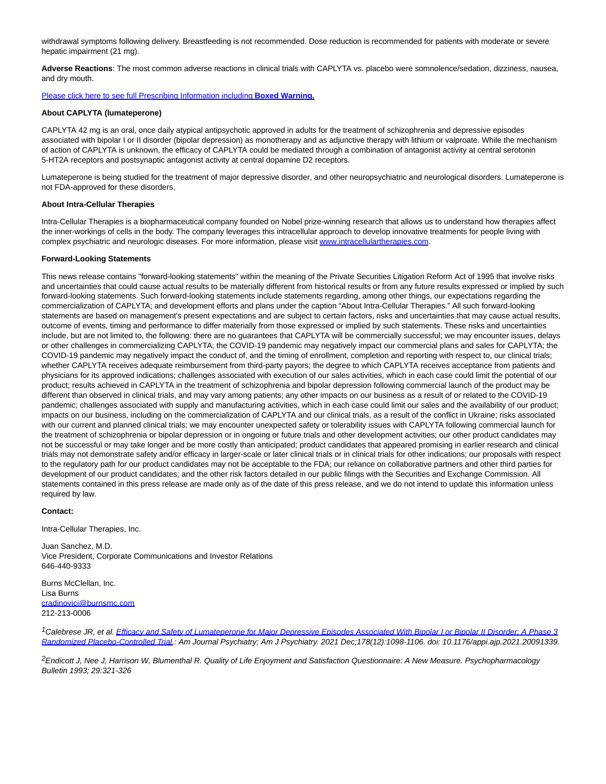withdrawal symptoms following delivery. Breastfeeding is not recommended. Dose reduction is recommended for patients with moderate or severe hepatic impairment (21 mg).

**Adverse Reactions**: The most common adverse reactions in clinical trials with CAPLYTA vs. placebo were somnolence/sedation, dizziness, nausea, and dry mouth.

#### [Please click here to see full Prescribing Information including](https://www.globenewswire.com/Tracker?data=gksu5SzhNyVGxwNJEfa_NFNCTvRkkb7cXoamrFzAFAUFfSLD50JFQTHXZkoAYqE0x07pE3WLhLf2h_3UyepOhJ3Dwi8KqOZKfEo0fNBt9yB5U1DXkhfjIsuORZEndson9Poq5US3NL_Yp11xR8tlo772zzDvge-6DC-ukj5GwzZwVnmrYDqM9hSgbSv0eeA6CwN4GdCA3HWHTUAiyKX00A==) **Boxed Warning.**

### **About CAPLYTA (lumateperone)**

CAPLYTA 42 mg is an oral, once daily atypical antipsychotic approved in adults for the treatment of schizophrenia and depressive episodes associated with bipolar I or II disorder (bipolar depression) as monotherapy and as adjunctive therapy with lithium or valproate. While the mechanism of action of CAPLYTA is unknown, the efficacy of CAPLYTA could be mediated through a combination of antagonist activity at central serotonin 5-HT2A receptors and postsynaptic antagonist activity at central dopamine D2 receptors.

Lumateperone is being studied for the treatment of major depressive disorder, and other neuropsychiatric and neurological disorders. Lumateperone is not FDA-approved for these disorders.

#### **About Intra-Cellular Therapies**

Intra-Cellular Therapies is a biopharmaceutical company founded on Nobel prize-winning research that allows us to understand how therapies affect the inner-workings of cells in the body. The company leverages this intracellular approach to develop innovative treatments for people living with complex psychiatric and neurologic diseases. For more information, please visi[t www.intracellulartherapies.com.](https://www.globenewswire.com/Tracker?data=AMMEkY18_Fq09oAeZYiovtDpRoC0et54P1PPWhzNao5OAfRI0jzZLEvqRch7Kwv4XIrf6EJpDc2dZm62FPIc2Wg-wqhqCLw-VKCZPJMDlMuoP0mf1tDw56mk4rWFqks8zXPK1HX0E2HyuB0Twrh5ZRZIHRy3-R9ZxTLGxI7uBR84eNjKzSZtGu73JDJxTgAJtZ2EVXzBKFYyrUHYmMmReGInKx64-K4X1J_pMclq2wRat6a0uyhnyfBRZLQuccmorGmbWi7kwX-__iV_8Si4uGzKl0pYjhNVvElsQurOMys7MyJLrbR0Fq_ZvttFq3kas-2c0EIupXO0uIQiQLRWd4lL1j8vTD4Mu5KW9eJAZ2gJ5JVmAm53EaukhoYutQV_hWkQTZyaS7NskrauIxMiTfPqc9aGzSwVg-P6hT9js72WDdrs2vB2N2tNu2CfGwADjLcLUMGrR0rL3ruY62ewC3uGYEbZlKJx3B4eCSSZn5QlYj8M0DUy99buYvovI9dygtuI3T45Snd8oLQM1n8dmQ==)

#### **Forward-Looking Statements**

This news release contains "forward-looking statements" within the meaning of the Private Securities Litigation Reform Act of 1995 that involve risks and uncertainties that could cause actual results to be materially different from historical results or from any future results expressed or implied by such forward-looking statements. Such forward-looking statements include statements regarding, among other things, our expectations regarding the commercialization of CAPLYTA; and development efforts and plans under the caption "About Intra-Cellular Therapies." All such forward-looking statements are based on management's present expectations and are subject to certain factors, risks and uncertainties that may cause actual results, outcome of events, timing and performance to differ materially from those expressed or implied by such statements. These risks and uncertainties include, but are not limited to, the following: there are no guarantees that CAPLYTA will be commercially successful; we may encounter issues, delays or other challenges in commercializing CAPLYTA; the COVID-19 pandemic may negatively impact our commercial plans and sales for CAPLYTA; the COVID-19 pandemic may negatively impact the conduct of, and the timing of enrollment, completion and reporting with respect to, our clinical trials; whether CAPLYTA receives adequate reimbursement from third-party payors; the degree to which CAPLYTA receives acceptance from patients and physicians for its approved indications; challenges associated with execution of our sales activities, which in each case could limit the potential of our product; results achieved in CAPLYTA in the treatment of schizophrenia and bipolar depression following commercial launch of the product may be different than observed in clinical trials, and may vary among patients; any other impacts on our business as a result of or related to the COVID-19 pandemic; challenges associated with supply and manufacturing activities, which in each case could limit our sales and the availability of our product; impacts on our business, including on the commercialization of CAPLYTA and our clinical trials, as a result of the conflict in Ukraine; risks associated with our current and planned clinical trials; we may encounter unexpected safety or tolerability issues with CAPLYTA following commercial launch for the treatment of schizophrenia or bipolar depression or in ongoing or future trials and other development activities; our other product candidates may not be successful or may take longer and be more costly than anticipated; product candidates that appeared promising in earlier research and clinical trials may not demonstrate safety and/or efficacy in larger-scale or later clinical trials or in clinical trials for other indications; our proposals with respect to the regulatory path for our product candidates may not be acceptable to the FDA; our reliance on collaborative partners and other third parties for development of our product candidates; and the other risk factors detailed in our public filings with the Securities and Exchange Commission. All statements contained in this press release are made only as of the date of this press release, and we do not intend to update this information unless required by law.

#### **Contact:**

Intra-Cellular Therapies, Inc.

Juan Sanchez, M.D. Vice President, Corporate Communications and Investor Relations 646-440-9333

Burns McClellan, Inc. Lisa Burns [cradinovici@burnsmc.com](https://www.globenewswire.com/Tracker?data=Z2K5rENwLiLf6evfbHbHf5yXMG5G0gCudE5PPOzc1nM5FvG0bIXaO4rGNqb1xjUx9nN_WFGkizLsUHYkHPxhU23ls0haWDwQbuUnARN1q7ei7pGRRWrLUJ817mXIpuDp_v8zvRv3D3Y-rFSukvXmBy7PGzAzbgvG9FYxEM4oatuY7OeHvBATu8dQw7NQwXvwQNPB5AU5fxlN9Q3W5Xtqd6_kZloapHva0cdj0r47RONgL6faBZZE1gEjoqODDo9D_JbqBc4SnBbf0cegFd2nI0ePHescxz91Wm6nbo3hMxuf9awfYUOgr5gC4roUlroyh69ZnZVPY88IXufMrQOO8IrI0735oyeaPw6pQspeZmwRY4z6c6C0ipFUUagbXHZaWSeE_ueqVmbVrn08C8_4xU5Jha5B1sTVos3oWqc5Ar5ofknIYttZRzu739Co7csfwbLYHbSCQy7gzN9IhOUUsA==) 212-213-0006

<sup>1</sup>Calebrese JR, et al[. Efficacy and Safety of Lumateperone for Major Depressive Episodes Associated With Bipolar I or Bipolar II Disorder: A Phase 3](https://www.globenewswire.com/Tracker?data=CCbZileWGExPMzjDb7EL1OgqIIaS_MbbfHHLxsiimA284iHklvbDpcgagh6jMzzmJlnM16qbhcpYGm4lMBy0EkRlFs7jxIS246CEKgoaZuj5OqgwSzmUsm-QkuUFUquo-RKXjKlROVNb1PeeWkEHdVU7Cjj8NIB1sl4pLG5TOZDh1foF-OfLfyP9t5TBgDe0ZlXefxrr-sVrqsYNA0er0eGmJdEGROP7IiURVGmhZOX5DX0OmyVQx9yJ9l4kA3W1oZzy7AUfXFR4HQoDr4RW_rA00J2NQlgLnHlhMqLjVcfZ7gLbXnD84f4_4SHaKL6VfMRBWHki71z1r_GeizOV6Q==) Randomized Placebo-Controlled Trial,: Am Journal Psychiatry; Am J Psychiatry. 2021 Dec;178(12):1098-1106. doi: 10.1176/appi.ajp.2021.20091339.

 $^2$ Endicott J, Nee J, Harrison W, Blumenthal R. Quality of Life Enjoyment and Satisfaction Questionnaire: A New Measure. Psychopharmacology Bulletin 1993; 29:321-326